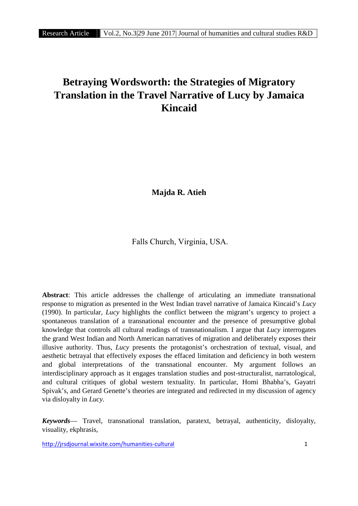# **Betraying Wordsworth: the Strategies of Migratory Translation in the Travel Narrative of Lucy by Jamaica Kincaid**

**Majda R. Atieh**

Falls Church, Virginia, USA.

**Abstract**: This article addresses the challenge of articulating an immediate transnational response to migration as presented in the West Indian travel narrative of Jamaica Kincaid's *Lucy* (1990). In particular, *Lucy* highlights the conflict between the migrant's urgency to project a spontaneous translation of a transnational encounter and the presence of presumptive global knowledge that controls all cultural readings of transnationalism. I argue that *Lucy* interrogates the grand West Indian and North American narratives of migration and deliberately exposes their illusive authority. Thus, *Lucy* presents the protagonist's orchestration of textual, visual, and aesthetic betrayal that effectively exposes the effaced limitation and deficiency in both western and global interpretations of the transnational encounter. My argument follows an interdisciplinary approach as it engages translation studies and post-structuralist, narratological, and cultural critiques of global western textuality. In particular, Homi Bhabha's, Gayatri Spivak's, and Gerard Genette's theories are integrated and redirected in my discussion of agency via disloyalty in *Lucy*.

*Keywords*— Travel, transnational translation, paratext, betrayal, authenticity, disloyalty, visuality, ekphrasis,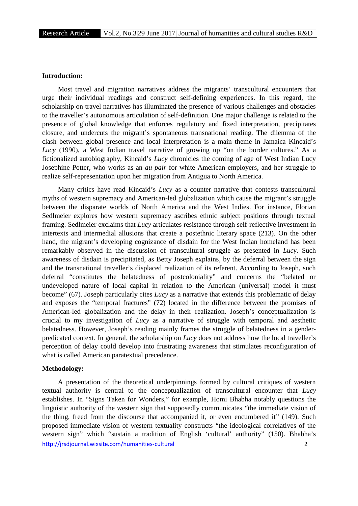## **Introduction:**

Most travel and migration narratives address the migrants' transcultural encounters that urge their individual readings and construct self-defining experiences. In this regard, the scholarship on travel narratives has illuminated the presence of various challenges and obstacles to the traveller's autonomous articulation of self-definition. One major challenge is related to the presence of global knowledge that enforces regulatory and fixed interpretation, precipitates closure, and undercuts the migrant's spontaneous transnational reading. The dilemma of the clash between global presence and local interpretation is a main theme in Jamaica Kincaid's *Lucy* (1990), a West Indian travel narrative of growing up "on the border cultures." As a fictionalized autobiography, Kincaid's *Lucy* chronicles the coming of age of West Indian Lucy Josephine Potter, who works as an *au pair* for white American employers, and her struggle to realize self-representation upon her migration from Antigua to North America.

Many critics have read Kincaid's *Lucy* as a counter narrative that contests transcultural myths of western supremacy and American-led globalization which cause the migrant's struggle between the disparate worlds of North America and the West Indies. For instance, Florian Sedlmeier explores how western supremacy ascribes ethnic subject positions through textual framing. Sedlmeier exclaims that *Lucy* articulates resistance through self-reflective investment in intertexts and intermedial allusions that create a postethnic literary space (213). On the other hand, the migrant's developing cognizance of disdain for the West Indian homeland has been remarkably observed in the discussion of transcultural struggle as presented in *Lucy*. Such awareness of disdain is precipitated, as Betty Joseph explains, by the deferral between the sign and the transnational traveller's displaced realization of its referent. According to Joseph, such deferral "constitutes the belatedness of postcoloniality" and concerns the "belated or undeveloped nature of local capital in relation to the American (universal) model it must become" (67). Joseph particularly cites *Lucy* as a narrative that extends this problematic of delay and exposes the "temporal fractures" (72) located in the difference between the promises of American-led globalization and the delay in their realization. Joseph's conceptualization is crucial to my investigation of *Lucy* as a narrative of struggle with temporal and aesthetic belatedness. However, Joseph's reading mainly frames the struggle of belatedness in a gender predicated context. In general, the scholarship on *Lucy* does not address how the local traveller's perception of delay could develop into frustrating awareness that stimulates reconfiguration of what is called American paratextual precedence.

# **Methodology:**

http://jrsdjournal.wixsite.com/humanities-cultural 2 A presentation of the theoretical underpinnings formed by cultural critiques of western textual authority is central to the conceptualization of transcultural encounter that *Lucy* establishes. In "Signs Taken for Wonders," for example, Homi Bhabha notably questions the linguistic authority of the western sign that supposedly communicates "the immediate vision of the thing, freed from the discourse that accompanied it, or even encumbered it" (149). Such proposed immediate vision of western textuality constructs "the ideological correlatives of the western sign" which "sustain a tradition of English 'cultural' authority" (150). Bhabha's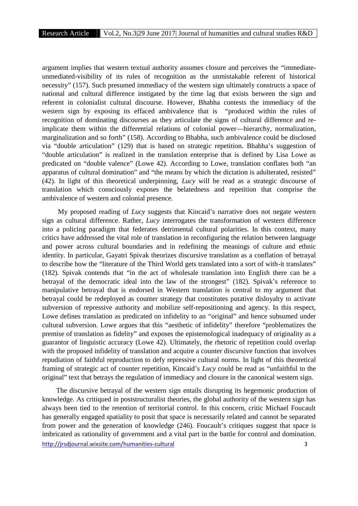argument implies that western textual authority assumes closure and perceives the "immediate unmediated-visibility of its rules of recognition as the unmistakable referent of historical necessity" (157). Such presumed immediacy of the western sign ultimately constructs a space of national and cultural difference instigated by the time lag that exists between the sign and referent in colonialist cultural discourse. However, Bhabha contests the immediacy of the western sign by exposing its effaced ambivalence that is "produced within the rules of recognition of dominating discourses as they articulate the signs of cultural difference and reimplicate them within the differential relations of colonial power—hierarchy, normalization, marginalization and so forth" (158). According to Bhabha, such ambivalence could be disclosed via "double articulation" (129) that is based on strategic repetition. Bhabha's suggestion of "double articulation" is realized in the translation enterprise that is defined by Lisa Lowe as predicated on "double valence" (Lowe 42). According to Lowe, translation conflates both "an apparatus of cultural domination" and "the means by which the dictation is adulterated, resisted" (42). In light of this theoretical underpinning, *Lucy* will be read as a strategic discourse of translation which consciously exposes the belatedness and repetition that comprise the ambivalence of western and colonial presence.

My proposed reading of *Lucy* suggests that Kincaid's narrative does not negate western sign as cultural difference. Rather, *Lucy* interrogates the transformation of western difference into a policing paradigm that federates detrimental cultural polarities. In this context, many critics have addressed the vital role of translation in reconfiguring the relation between language and power across cultural boundaries and in redefining the meanings of culture and ethnic identity. In particular, Gayatri Spivak theorizes discursive translation as a conflation of betrayal to describe how the "literature of the Third World gets translated into a sort of with-it translates" (182). Spivak contends that "in the act of wholesale translation into English there can be a betrayal of the democratic ideal into the law of the strongest" (182). Spivak's reference to manipulative betrayal that is endorsed in Western translation is central to my argument that betrayal could be redeployed as counter strategy that constitutes putative disloyalty to activate subversion of repressive authority and mobilize self-repositioning and agency. In this respect, Lowe defines translation as predicated on infidelity to an "original" and hence subsumed under cultural subversion. Lowe argues that this "aesthetic of infidelity" therefore "problematizes the premise of translation as fidelity" and exposes the epistemological inadequacy of originality as a guarantor of linguistic accuracy (Lowe 42). Ultimately, the rhetoric of repetition could overlap with the proposed infidelity of translation and acquire a counter discursive function that involves repudiation of faithful reproduction to defy repressive cultural norms. In light of this theoretical framing of strategic act of counter repetition, Kincaid's *Lucy* could be read as "unfaithful to the original" text that betrays the regulation of immediacy and closure in the canonical western sign.

http://jrsdjournal.wixsite.com/humanities-cultural 3 The discursive betrayal of the western sign entails disrupting its hegemonic production of knowledge. As critiqued in poststructuralist theories, the global authority of the western sign has always been tied to the retention of territorial control. In this concern, critic Michael Foucault has generally engaged spatiality to posit that space is necessarily related and cannot be separated from power and the generation of knowledge (246). Foucault's critiques suggest that space is imbricated as rationality of government and a vital part in the battle for control and domination.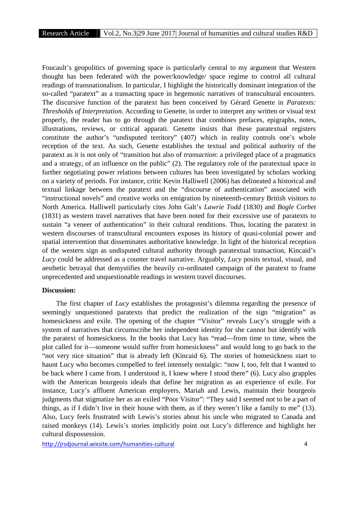Foucault's geopolitics of governing space is particularly central to my argument that Western thought has been federated with the power/knowledge/ space regime to control all cultural readings of transnationalism. In particular, I highlight the historically dominant integration of the so-called "paratext" as a transacting space in hegemonic narratives of transcultural encounters. The discursive function of the paratext has been conceived by Gérard Genette in *Paratexts: Thresholds of Interpretation*. According to Genette, in order to interpret any written or visual text properly, the reader has to go through the paratext that combines prefaces, epigraphs, notes, illustrations, reviews, or critical apparati. Genette insists that these paratextual registers constitute the author's "undisputed territory" (407) which in reality controls one's whole reception of the text. As such, Genette establishes the textual and political authority of the paratext as it is not only of "transition but also of *transaction*: a privileged place of a pragmatics and a strategy, of an influence on the public" (2). The regulatory role of the paratextual space in further negotiating power relations between cultures has been investigated by scholars working on a variety of periods. For instance, critic Kevin Halliwell (2006) has delineated a historical and textual linkage between the paratext and the "discourse of authentication" associated with "instructional novels" and creative works on emigration by nineteenth-century British visitors to North America. Halliwell particularly cites John Galt's *Lawrie Todd* (1830) and *Bogle Corbet* (1831) as western travel narratives that have been noted for their excessive use of paratexts to sustain "a veneer of authentication" in their cultural renditions. Thus, locating the paratext in western discourses of transcultural encounters exposes its history of quasi-colonial power and spatial intervention that disseminates authoritative knowledge. In light of the historical reception of the western sign as undisputed cultural authority through paratextual transaction, Kincaid's *Lucy* could be addressed as a counter travel narrative. Arguably, *Lucy* posits textual, visual, and aesthetic betrayal that demystifies the heavily co-ordinated campaign of the paratext to frame unprecedented and unquestionable readings in western travel discourses.

#### **Discussion:**

The first chapter of *Lucy* establishes the protagonist's dilemma regarding the presence of seemingly unquestioned paratexts that predict the realization of the sign "migration" as homesickness and exile. The opening of the chapter "Visitor" reveals Lucy's struggle with a system of narratives that circumscribe her independent identity for she cannot but identify with the paratext of homesickness. In the books that Lucy has "read—from time to time, when the plot called for it—someone would suffer from homesickness" and would long to go back to the "not very nice situation" that is already left (Kincaid 6). The stories of homesickness start to haunt Lucy who becomes compelled to feel intensely nostalgic: "now I, too, felt that I wanted to be back where I came from. I understood it, I knew where I stood there" (6). Lucy also grapples with the American bourgeois ideals that define her migration as an experience of exile. For instance, Lucy's affluent American employers, Mariah and Lewis, maintain their bourgeois judgments that stigmatize her as an exiled "Poor Visitor": "They said I seemed not to be a part of things, as if I didn't live in their house with them, as if they weren't like a family to me" (13). Also, Lucy feels frustrated with Lewis's stories about his uncle who migrated to Canada and raised monkeys (14). Lewis's stories implicitly point out Lucy's difference and highlight her cultural dispossession.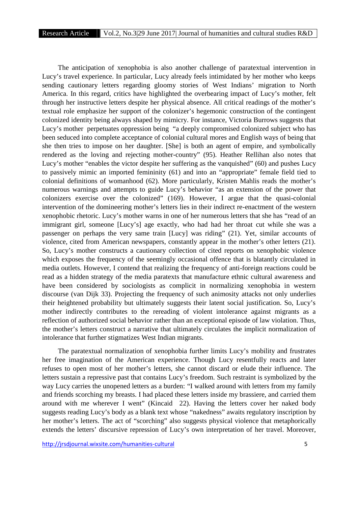The anticipation of xenophobia is also another challenge of paratextual intervention in Lucy's travel experience. In particular, Lucy already feels intimidated by her mother who keeps sending cautionary letters regarding gloomy stories of West Indians' migration to North America. In this regard, critics have highlighted the overbearing impact of Lucy's mother, felt through her instructive letters despite her physical absence. All critical readings of the mother's textual role emphasize her support of the colonizer's hegemonic construction of the contingent colonized identity being always shaped by mimicry. For instance, Victoria Burrows suggests that Lucy's mother perpetuates oppression being "a deeply compromised colonized subject who has been seduced into complete acceptance of colonial cultural mores and English ways of being that she then tries to impose on her daughter. [She] is both an agent of empire, and symbolically rendered as the loving and rejecting mother-country" (95). Heather Rellihan also notes that Lucy's mother "enables the victor despite her suffering as the vanquished" (60) and pushes Lucy to passively mimic an imported femininity (61) and into an "appropriate" female field tied to colonial definitions of womanhood (62). More particularly, Kristen Mahlis reads the mother's numerous warnings and attempts to guide Lucy's behavior "as an extension of the power that colonizers exercise over the colonized" (169). However, I argue that the quasi-colonial intervention of the domineering mother's letters lies in their indirect re-enactment of the western xenophobic rhetoric. Lucy's mother warns in one of her numerous letters that she has "read of an immigrant girl, someone [Lucy's] age exactly, who had had her throat cut while she was a passenger on perhaps the very same train [Lucy] was riding" (21). Yet, similar accounts of violence, cited from American newspapers, constantly appear in the mother's other letters (21). So, Lucy's mother constructs a cautionary collection of cited reports on xenophobic violence which exposes the frequency of the seemingly occasional offence that is blatantly circulated in media outlets. However, I contend that realizing the frequency of anti-foreign reactions could be read as a hidden strategy of the media paratexts that manufacture ethnic cultural awareness and have been considered by sociologists as complicit in normalizing xenophobia in western discourse (van Dijk 33). Projecting the frequency of such animosity attacks not only underlies their heightened probability but ultimately suggests their latent social justification. So, Lucy's mother indirectly contributes to the rereading of violent intolerance against migrants as a reflection of authorized social behavior rather than an exceptional episode of law violation. Thus, the mother's letters construct a narrative that ultimately circulates the implicit normalization of intolerance that further stigmatizes West Indian migrants.

The paratextual normalization of xenophobia further limits Lucy's mobility and frustrates her free imagination of the American experience. Though Lucy resentfully reacts and later refuses to open most of her mother's letters, she cannot discard or elude their influence. The letters sustain a repressive past that contains Lucy's freedom. Such restraint is symbolized by the way Lucy carries the unopened letters as a burden: "I walked around with letters from my family and friends scorching my breasts. I had placed these letters inside my brassiere, and carried them around with me wherever I went" (Kincaid 22). Having the letters cover her naked body suggests reading Lucy's body as a blank text whose "nakedness" awaits regulatory inscription by her mother's letters. The act of "scorching" also suggests physical violence that metaphorically extends the letters' discursive repression of Lucy's own interpretation of her travel. Moreover,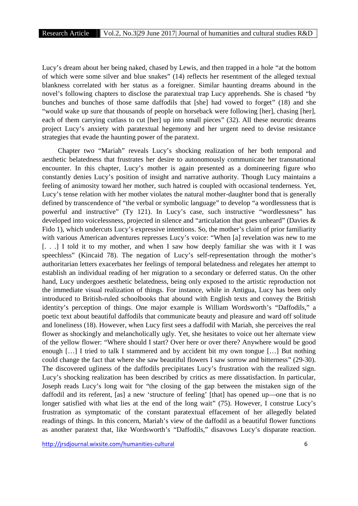Lucy's dream about her being naked, chased by Lewis, and then trapped in a hole "at the bottom of which were some silver and blue snakes" (14) reflects her resentment of the alleged textual blankness correlated with her status as a foreigner. Similar haunting dreams abound in the novel's following chapters to disclose the paratextual trap Lucy apprehends. She is chased "by bunches and bunches of those same daffodils that [she] had vowed to forget" (18) and she "would wake up sure that thousands of people on horseback were following [her], chasing [her], each of them carrying cutlass to cut [her] up into small pieces" (32). All these neurotic dreams project Lucy's anxiety with paratextual hegemony and her urgent need to devise resistance strategies that evade the haunting power of the paratext.

Chapter two "Mariah" reveals Lucy's shocking realization of her both temporal and aesthetic belatedness that frustrates her desire to autonomously communicate her transnational encounter. In this chapter, Lucy's mother is again presented as a domineering figure who constantly denies Lucy's position of insight and narrative authority. Though Lucy maintains a feeling of animosity toward her mother, such hatred is coupled with occasional tenderness. Yet, Lucy's tense relation with her mother violates the natural mother-daughter bond that is generally defined by transcendence of "the verbal or symbolic language" to develop "a wordlessness that is powerful and instructive" (Ty 121). In Lucy's case, such instructive "wordlessness" has developed into voicelessness, projected in silence and "articulation that goes unheard" (Davies & Fido 1), which undercuts Lucy's expressive intentions. So, the mother's claim of prior familiarity with various American adventures represses Lucy's voice: "When [a] revelation was new to me [. . .] I told it to my mother, and when I saw how deeply familiar she was with it I was speechless" (Kincaid 78). The negation of Lucy's self-representation through the mother's authoritarian letters exacerbates her feelings of temporal belatedness and relegates her attempt to establish an individual reading of her migration to a secondary or deferred status. On the other hand, Lucy undergoes aesthetic belatedness, being only exposed to the artistic reproduction not the immediate visual realization of things. For instance, while in Antigua, Lucy has been only introduced to British-ruled schoolbooks that abound with English texts and convey the British identity's perception of things. One major example is William Wordsworth's "Daffodils," a poetic text about beautiful daffodils that communicate beauty and pleasure and ward off solitude and loneliness (18). However, when Lucy first sees a daffodil with Mariah, she perceives the real flower as shockingly and melancholically ugly. Yet, she hesitates to voice out her alternate view of the yellow flower: "Where should I start? Over here or over there? Anywhere would be good enough […] I tried to talk I stammered and by accident bit my own tongue […] But nothing could change the fact that where she saw beautiful flowers I saw sorrow and bitterness" (29-30). The discovered ugliness of the daffodils precipitates Lucy's frustration with the realized sign. Lucy's shocking realization has been described by critics as mere dissatisfaction. In particular, Joseph reads Lucy's long wait for "the closing of the gap between the mistaken sign of the daffodil and its referent, [as] a new 'structure of feeling' [that] has opened up—one that is no longer satisfied with what lies at the end of the long wait" (75). However, I construe Lucy's frustration as symptomatic of the constant paratextual effacement of her allegedly belated readings of things. In this concern, Mariah's view of the daffodil as a beautiful flower functions as another paratext that, like Wordsworth's "Daffodils," disavows Lucy's disparate reaction.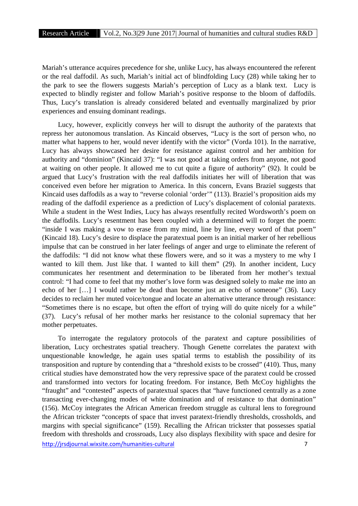Mariah's utterance acquires precedence for she, unlike Lucy, has always encountered the referent or the real daffodil. As such, Mariah's initial act of blindfolding Lucy (28) while taking her to the park to see the flowers suggests Mariah's perception of Lucy as a blank text. Lucy is expected to blindly register and follow Mariah's positive response to the bloom of daffodils. Thus, Lucy's translation is already considered belated and eventually marginalized by prior experiences and ensuing dominant readings.

Lucy, however, explicitly conveys her will to disrupt the authority of the paratexts that repress her autonomous translation. As Kincaid observes, "Lucy is the sort of person who, no matter what happens to her, would never identify with the victor" (Vorda 101). In the narrative, Lucy has always showcased her desire for resistance against control and her ambition for authority and "dominion" (Kincaid 37): "I was not good at taking orders from anyone, not good at waiting on other people. It allowed me to cut quite a figure of authority" (92). It could be argued that Lucy's frustration with the real daffodils initiates her will of liberation that was conceived even before her migration to America. In this concern, Evans Braziel suggests that Kincaid uses daffodils as a way to "reverse colonial 'order'" (113). Braziel's proposition aids my reading of the daffodil experience as a prediction of Lucy's displacement of colonial paratexts. While a student in the West Indies, Lucy has always resentfully recited Wordsworth's poem on the daffodils. Lucy's resentment has been coupled with a determined will to forget the poem: "inside I was making a vow to erase from my mind, line by line, every word of that poem" (Kincaid 18). Lucy's desire to displace the paratextual poem is an initial marker of her rebellious impulse that can be construed in her later feelings of anger and urge to eliminate the referent of the daffodils: "I did not know what these flowers were, and so it was a mystery to me why I wanted to kill them. Just like that. I wanted to kill them" (29). In another incident, Lucy communicates her resentment and determination to be liberated from her mother's textual control: "I had come to feel that my mother's love form was designed solely to make me into an echo of her […] I would rather be dead than become just an echo of someone" (36). Lucy decides to reclaim her muted voice/tongue and locate an alternative utterance through resistance: "Sometimes there is no escape, but often the effort of trying will do quite nicely for a while" (37). Lucy's refusal of her mother marks her resistance to the colonial supremacy that her mother perpetuates.

http://jrsdjournal.wixsite.com/humanities-cultural 7 To interrogate the regulatory protocols of the paratext and capture possibilities of liberation, Lucy orchestrates spatial treachery. Though Genette correlates the paratext with unquestionable knowledge, he again uses spatial terms to establish the possibility of its transposition and rupture by contending that a "threshold exists to be crossed" (410). Thus, many critical studies have demonstrated how the very repressive space of the paratext could be crossed and transformed into vectors for locating freedom. For instance, Beth McCoy highlights the "fraught" and "contested" aspects of paratextual spaces that "have functioned centrally as a zone transacting ever-changing modes of white domination and of resistance to that domination" (156). McCoy integrates the African American freedom struggle as cultural lens to foreground the African trickster "concepts of space that invest paratext-friendly thresholds, crossholds, and margins with special significance" (159). Recalling the African trickster that possesses spatial freedom with thresholds and crossroads, Lucy also displays flexibility with space and desire for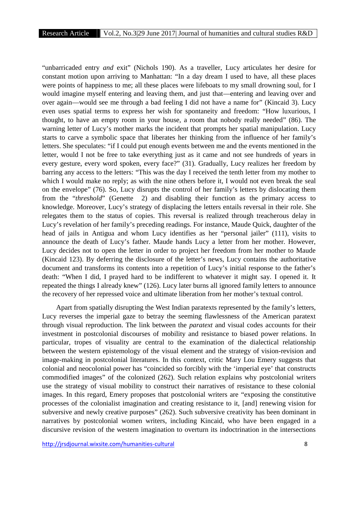"unbarricaded entry *and* exit" (Nichols 190). As a traveller, Lucy articulates her desire for constant motion upon arriving to Manhattan: "In a day dream I used to have, all these places were points of happiness to me; all these places were lifeboats to my small drowning soul, for I would imagine myself entering and leaving them, and just that—entering and leaving over and over again—would see me through a bad feeling I did not have a name for" (Kincaid 3). Lucy even uses spatial terms to express her wish for spontaneity and freedom: "How luxurious, I thought, to have an empty room in your house, a room that nobody really needed" (86). The warning letter of Lucy's mother marks the incident that prompts her spatial manipulation. Lucy starts to carve a symbolic space that liberates her thinking from the influence of her family's letters. She speculates: "if I could put enough events between me and the events mentioned in the letter, would I not be free to take everything just as it came and not see hundreds of years in every gesture, every word spoken, every face?" (31). Gradually, Lucy realizes her freedom by barring any access to the letters: "This was the day I received the tenth letter from my mother to which I would make no reply; as with the nine others before it, I would not even break the seal on the envelope" (76). So, Lucy disrupts the control of her family's letters by dislocating them from the "*threshold*" (Genette 2) and disabling their function as the primary access to knowledge. Moreover, Lucy's strategy of displacing the letters entails reversal in their role. She relegates them to the status of copies. This reversal is realized through treacherous delay in Lucy's revelation of her family's preceding readings. For instance, Maude Quick, daughter of the head of jails in Antigua and whom Lucy identifies as her "personal jailer" (111), visits to announce the death of Lucy's father. Maude hands Lucy a letter from her mother. However, Lucy decides not to open the letter in order to project her freedom from her mother to Maude (Kincaid 123). By deferring the disclosure of the letter's news, Lucy contains the authoritative document and transforms its contents into a repetition of Lucy's initial response to the father's death: "When I did, I prayed hard to be indifferent to whatever it might say. I opened it. It repeated the things I already knew" (126). Lucy later burns all ignored family letters to announce the recovery of her repressed voice and ultimate liberation from her mother's textual control.

Apart from spatially disrupting the West Indian paratexts represented by the family's letters, Lucy reverses the imperial gaze to betray the seeming flawlessness of the American paratext through visual reproduction. The link between the *paratext* and visual codes accounts for their investment in postcolonial discourses of mobility and resistance to biased power relations. In particular, tropes of visuality are central to the examination of the dialectical relationship between the western epistemology of the visual element and the strategy of vision-revision and image-making in postcolonial literatures. In this context, critic Mary Lou Emery suggests that colonial and neocolonial power has "coincided so forcibly with the 'imperial eye' that constructs commodified images" of the colonized (262). Such relation explains why postcolonial writers use the strategy of visual mobility to construct their narratives of resistance to these colonial images. In this regard, Emery proposes that postcolonial writers are "exposing the constitutive processes of the colonialist imagination and creating resistance to it, [and] renewing vision for subversive and newly creative purposes" (262). Such subversive creativity has been dominant in narratives by postcolonial women writers, including Kincaid, who have been engaged in a discursive revision of the western imagination to overturn its indoctrination in the intersections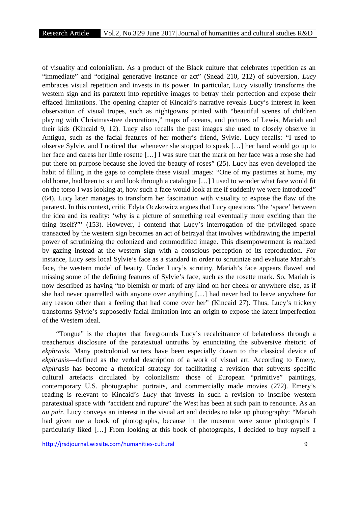of visuality and colonialism. As a product of the Black culture that celebrates repetition as an "immediate" and "original generative instance or act" (Snead 210, 212) of subversion, *Lucy* embraces visual repetition and invests in its power. In particular, Lucy visually transforms the western sign and its paratext into repetitive images to betray their perfection and expose their effaced limitations. The opening chapter of Kincaid's narrative reveals Lucy's interest in keen observation of visual tropes, such as nightgowns printed with "beautiful scenes of children playing with Christmas-tree decorations," maps of oceans, and pictures of Lewis, Mariah and their kids (Kincaid 9, 12). Lucy also recalls the past images she used to closely observe in Antigua, such as the facial features of her mother's friend, Sylvie. Lucy recalls: "I used to observe Sylvie, and I noticed that whenever she stopped to speak […] her hand would go up to her face and caress her little rosette […] I was sure that the mark on her face was a rose she had put there on purpose because she loved the beauty of roses" (25). Lucy has even developed the habit of filling in the gaps to complete these visual images: "One of my pastimes at home, my old home, had been to sit and look through a catalogue […] I used to wonder what face would fit on the torso I was looking at, how such a face would look at me if suddenly we were introduced" (64). Lucy later manages to transform her fascination with visuality to expose the flaw of the paratext. In this context, critic Edyta Oczkowicz argues that Lucy questions "the 'space' between the idea and its reality: 'why is a picture of something real eventually more exciting than the thing itself?"' (153). However, I contend that Lucy's interrogation of the privileged space transacted by the western sign becomes an act of betrayal that involves withdrawing the imperial power of scrutinizing the colonized and commodified image. This disempowerment is realized by gazing instead at the western sign with a conscious perception of its reproduction. For instance, Lucy sets local Sylvie's face as a standard in order to scrutinize and evaluate Mariah's face, the western model of beauty. Under Lucy's scrutiny, Mariah's face appears flawed and missing some of the defining features of Sylvie's face, such as the rosette mark. So, Mariah is now described as having "no blemish or mark of any kind on her cheek or anywhere else, as if she had never quarrelled with anyone over anything […] had never had to leave anywhere for any reason other than a feeling that had come over her" (Kincaid 27). Thus, Lucy's trickery transforms Sylvie's supposedly facial limitation into an origin to expose the latent imperfection of the Western ideal.

"Tongue" is the chapter that foregrounds Lucy's recalcitrance of belatedness through a treacherous disclosure of the paratextual untruths by enunciating the subversive rhetoric of *ekphrasis*. Many postcolonial writers have been especially drawn to the classical device of *ekphrasis*—defined as the verbal description of a work of visual art. According to Emery, *ekphrasis* has become a rhetorical strategy for facilitating a revision that subverts specific cultural artefacts circulated by colonialism: those of European "primitive" paintings, contemporary U.S. photographic portraits, and commercially made movies (272). Emery's reading is relevant to Kincaid's *Lucy* that invests in such a revision to inscribe western paratextual space with "accident and rupture" the West has been at such pain to renounce. As an *au pair*, Lucy conveys an interest in the visual art and decides to take up photography: "Mariah had given me a book of photographs, because in the museum were some photographs I particularly liked […] From looking at this book of photographs, I decided to buy myself a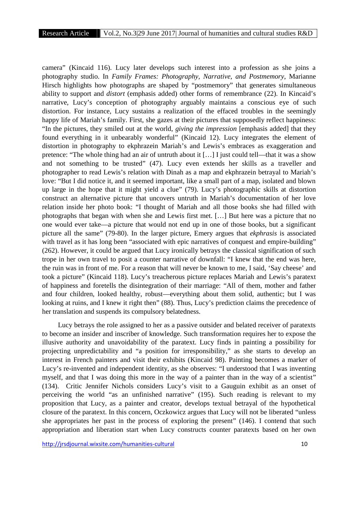camera" (Kincaid 116). Lucy later develops such interest into a profession as she joins a photography studio. In *Family Frames: Photography, Narrative, and Postmemory*, Marianne Hirsch highlights how photographs are shaped by "postmemory" that generates simultaneous ability to support and *distort* (emphasis added) other forms of remembrance (22). In Kincaid's narrative, Lucy's conception of photography arguably maintains a conscious eye of such distortion. For instance, Lucy sustains a realization of the effaced troubles in the seemingly happy life of Mariah's family. First, she gazes at their pictures that supposedly reflect happiness: "In the pictures, they smiled out at the world, *giving the impression* [emphasis added] that they found everything in it unbearably wonderful" (Kincaid 12). Lucy integrates the element of distortion in photography to ekphrazein Mariah's and Lewis's embraces as exaggeration and pretence: "The whole thing had an air of untruth about it […] I just could tell—that it was a show and not something to be trusted" (47). Lucy even extends her skills as a traveller and photographer to read Lewis's relation with Dinah as a map and ekphrazein betrayal to Mariah's love: "But I did notice it, and it seemed important, like a small part of a map, isolated and blown up large in the hope that it might yield a clue" (79). Lucy's photographic skills at distortion construct an alternative picture that uncovers untruth in Mariah's documentation of her love relation inside her photo book: "I thought of Mariah and all those books she had filled with photographs that began with when she and Lewis first met. […] But here was a picture that no one would ever take—a picture that would not end up in one of those books, but a significant picture all the same" (79-80). In the larger picture, Emery argues that *ekphrasis* is associated with travel as it has long been "associated with epic narratives of conquest and empire-building" (262). However, it could be argued that Lucy ironically betrays the classical signification of such trope in her own travel to posit a counter narrative of downfall: "I knew that the end was here, the ruin was in front of me. For a reason that will never be known to me, I said, 'Say cheese' and took a picture" (Kincaid 118). Lucy's treacherous picture replaces Mariah and Lewis's paratext of happiness and foretells the disintegration of their marriage: "All of them, mother and father and four children, looked healthy, robust—everything about them solid, authentic; but I was looking at ruins, and I knew it right then" (88). Thus, Lucy's prediction claims the precedence of her translation and suspends its compulsory belatedness.

Lucy betrays the role assigned to her as a passive outsider and belated receiver of paratexts to become an insider and inscriber of knowledge. Such transformation requires her to expose the illusive authority and unavoidability of the paratext. Lucy finds in painting a possibility for projecting unpredictability and "a position for irresponsibility," as she starts to develop an interest in French painters and visit their exhibits (Kincaid 98). Painting becomes a marker of Lucy's re-invented and independent identity, as she observes: "I understood that I was inventing myself, and that I was doing this more in the way of a painter than in the way of a scientist" (134). Critic Jennifer Nichols considers Lucy's visit to a Gauguin exhibit as an onset of perceiving the world "as an unfinished narrative" (195). Such reading is relevant to my proposition that Lucy, as a painter and creator, develops textual betrayal of the hypothetical closure of the paratext. In this concern, Oczkowicz argues that Lucy will not be liberated "unless she appropriates her past in the process of exploring the present" (146). I contend that such appropriation and liberation start when Lucy constructs counter paratexts based on her own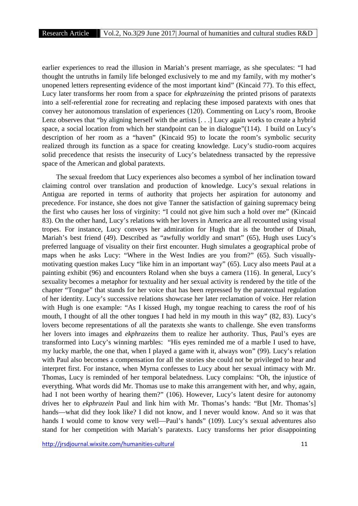earlier experiences to read the illusion in Mariah's present marriage, as she speculates: "I had thought the untruths in family life belonged exclusively to me and my family, with my mother's unopened letters representing evidence of the most important kind" (Kincaid 77). To this effect, Lucy later transforms her room from a space for *ekphrazeining* the printed prisons of paratexts into a self-referential zone for recreating and replacing these imposed paratexts with ones that convey her autonomous translation of experiences (120). Commenting on Lucy's room, Brooke Lenz observes that "by aligning herself with the artists [...] Lucy again works to create a hybrid space, a social location from which her standpoint can be in dialogue"(114). I build on Lucy's description of her room as a "haven" (Kincaid 95) to locate the room's symbolic security realized through its function as a space for creating knowledge. Lucy's studio-room acquires solid precedence that resists the insecurity of Lucy's belatedness transacted by the repressive space of the American and global paratexts.

The sexual freedom that Lucy experiences also becomes a symbol of her inclination toward claiming control over translation and production of knowledge. Lucy's sexual relations in Antigua are reported in terms of authority that projects her aspiration for autonomy and precedence. For instance, she does not give Tanner the satisfaction of gaining supremacy being the first who causes her loss of virginity: "I could not give him such a hold over me" (Kincaid 83). On the other hand, Lucy's relations with her lovers in America are all recounted using visual tropes. For instance, Lucy conveys her admiration for Hugh that is the brother of Dinah, Mariah's best friend (49). Described as "awfully worldly and smart" (65), Hugh uses Lucy's preferred language of visuality on their first encounter. Hugh simulates a geographical probe of maps when he asks Lucy: "Where in the West Indies are you from?" (65). Such visually motivating question makes Lucy "like him in an important way" (65). Lucy also meets Paul at a painting exhibit (96) and encounters Roland when she buys a camera (116). In general, Lucy's sexuality becomes a metaphor for textuality and her sexual activity is rendered by the title of the chapter "Tongue" that stands for her voice that has been repressed by the paratextual regulation of her identity. Lucy's successive relations showcase her later reclamation of voice. Her relation with Hugh is one example: "As I kissed Hugh, my tongue reaching to caress the roof of his mouth, I thought of all the other tongues I had held in my mouth in this way" (82, 83). Lucy's lovers become representations of all the paratexts she wants to challenge. She even transforms her lovers into images and *ekphrazeins* them to realize her authority. Thus, Paul's eyes are transformed into Lucy's winning marbles: "His eyes reminded me of a marble I used to have, my lucky marble, the one that, when I played a game with it, always won" (99). Lucy's relation with Paul also becomes a compensation for all the stories she could not be privileged to hear and interpret first. For instance, when Myrna confesses to Lucy about her sexual intimacy with Mr. Thomas, Lucy is reminded of her temporal belatedness. Lucy complains: "Oh, the injustice of everything. What words did Mr. Thomas use to make this arrangement with her, and why, again, had I not been worthy of hearing them?" (106). However, Lucy's latent desire for autonomy drives her to *ekphrazein* Paul and link him with Mr. Thomas's hands: "But [Mr. Thomas's] hands—what did they look like? I did not know, and I never would know. And so it was that hands I would come to know very well—Paul's hands" (109). Lucy's sexual adventures also stand for her competition with Mariah's paratexts. Lucy transforms her prior disappointing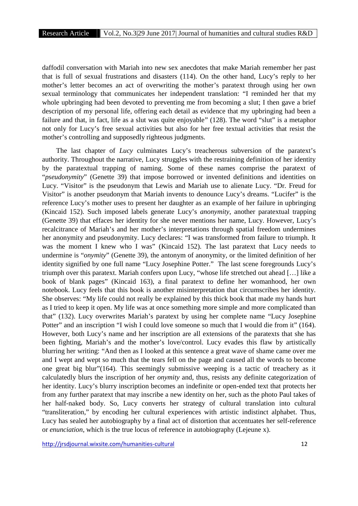daffodil conversation with Mariah into new sex anecdotes that make Mariah remember her past that is full of sexual frustrations and disasters (114). On the other hand, Lucy's reply to her mother's letter becomes an act of overwriting the mother's paratext through using her own sexual terminology that communicates her independent translation: "I reminded her that my whole upbringing had been devoted to preventing me from becoming a slut; I then gave a brief description of my personal life, offering each detail as evidence that my upbringing had been a failure and that, in fact, life as a slut was quite enjoyable" (128). The word "slut" is a metaphor not only for Lucy's free sexual activities but also for her free textual activities that resist the mother's controlling and supposedly righteous judgments.

The last chapter of *Lucy* culminates Lucy's treacherous subversion of the paratext's authority. Throughout the narrative, Lucy struggles with the restraining definition of her identity by the paratextual trapping of naming. Some of these names comprise the paratext of "*pseudonymity*" (Genette 39) that impose borrowed or invented definitions and identities on Lucy. "Visitor" is the pseudonym that Lewis and Mariah use to alienate Lucy. "Dr. Freud for Visitor" is another pseudonym that Mariah invents to denounce Lucy's dreams. "Lucifer" is the reference Lucy's mother uses to present her daughter as an example of her failure in upbringing (Kincaid 152). Such imposed labels generate Lucy's *anonymity*, another paratextual trapping (Genette 39) that effaces her identity for she never mentions her name, Lucy. However, Lucy's recalcitrance of Mariah's and her mother's interpretations through spatial freedom undermines her anonymity and pseudonymity. Lucy declares: "I was transformed from failure to triumph. It was the moment I knew who I was" (Kincaid 152). The last paratext that Lucy needs to undermine is "*onymity*" (Genette 39), the antonym of anonymity, or the limited definition of her identity signified by one full name "Lucy Josephine Potter." The last scene foregrounds Lucy's triumph over this paratext. Mariah confers upon Lucy, "whose life stretched out ahead […] like a book of blank pages" (Kincaid 163), a final paratext to define her womanhood, her own notebook. Lucy feels that this book is another misinterpretation that circumscribes her identity. She observes: "My life could not really be explained by this thick book that made my hands hurt as I tried to keep it open. My life was at once something more simple and more complicated than that" (132). Lucy overwrites Mariah's paratext by using her complete name "Lucy Josephine Potter" and an inscription "I wish I could love someone so much that I would die from it" (164). However, both Lucy's name and her inscription are all extensions of the paratexts that she has been fighting, Mariah's and the mother's love/control. Lucy evades this flaw by artistically blurring her writing: "And then as I looked at this sentence a great wave of shame came over me and I wept and wept so much that the tears fell on the page and caused all the words to become one great big blur"(164). This seemingly submissive weeping is a tactic of treachery as it calculatedly blurs the inscription of her *onymity* and, thus, resists any definite categorization of her identity. Lucy's blurry inscription becomes an indefinite or open-ended text that protects her from any further paratext that may inscribe a new identity on her, such as the photo Paul takes of her half-naked body. So, Lucy converts her strategy of cultural translation into cultural "transliteration," by encoding her cultural experiences with artistic indistinct alphabet. Thus, Lucy has sealed her autobiography by a final act of distortion that accentuates her self-reference or *enunciation*, which is the true locus of reference in autobiography (Lejeune x).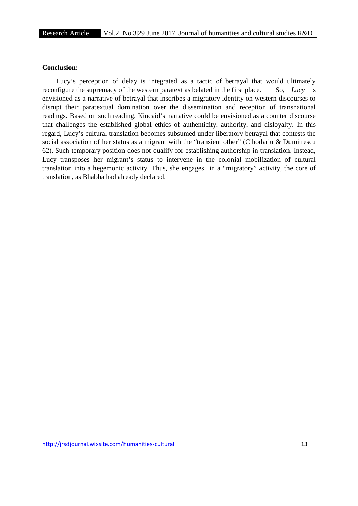## **Conclusion:**

Lucy's perception of delay is integrated as a tactic of betrayal that would ultimately reconfigure the supremacy of the western paratext as belated in the first place. So, *Lucy* is envisioned as a narrative of betrayal that inscribes a migratory identity on western discourses to disrupt their paratextual domination over the dissemination and reception of transnational readings. Based on such reading, Kincaid's narrative could be envisioned as a counter discourse that challenges the established global ethics of authenticity, authority, and disloyalty. In this regard, Lucy's cultural translation becomes subsumed under liberatory betrayal that contests the social association of her status as a migrant with the "transient other" (Cihodariu & Dumitrescu 62). Such temporary position does not qualify for establishing authorship in translation. Instead, Lucy transposes her migrant's status to intervene in the colonial mobilization of cultural translation into a hegemonic activity. Thus, she engages in a "migratory" activity, the core of translation, as Bhabha had already declared.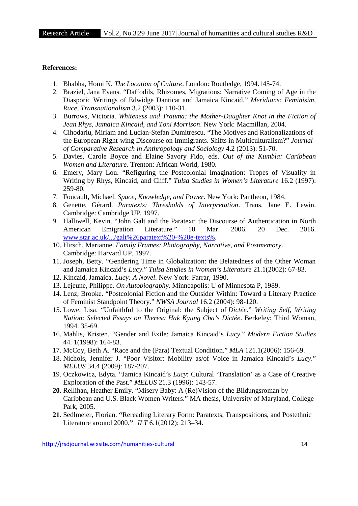## **References:**

- 1. Bhabha, Homi K. *The Location of Culture*. London: Routledge, 1994.145-74.
- 2. Braziel, Jana Evans. "Daffodils, Rhizomes, Migrations: Narrative Coming of Age in the Diasporic Writings of Edwidge Danticat and Jamaica Kincaid." *Meridians: Feminisim, Race, Transnationalism* 3.2 (2003): 110-31.
- 3. Burrows, Victoria. *Whiteness and Trauma: the Mother-Daughter Knot in the Fiction of Jean Rhys, Jamaica Kincaid, and Toni Morrison*. New York: Macmillan, 2004.
- 4. Cihodariu, Miriam and Lucian-Stefan Dumitrescu. "The Motives and Rationalizations of the European Right-wing Discourse on Immigrants. Shifts in Multiculturalism?" *Journal of Comparative Research in Anthropology and Sociology* 4.2 (2013): 51-70.
- 5. Davies, Carole Boyce and Elaine Savory Fido, eds. *Out of the Kumbla: Caribbean Women and Literature.* Trenton: African World, 1980.
- 6. Emery, Mary Lou. "Refiguring the Postcolonial Imagination: Tropes of Visuality in Writing by Rhys, Kincaid, and Cliff." *Tulsa Studies in Women's Literature* 16.2 (1997): 259-80.
- 7. Foucault, Michael. *Space, Knowledge, and Power*. New York: Pantheon, 1984.
- 8. Genette, Gérard. *Paratexts: Thresholds of Interpretation*. Trans. Jane E. Lewin. Cambridge: Cambridge UP, 1997.
- 9. Halliwell, Kevin. "John Galt and the Paratext: the Discourse of Authentication in North American Emigration Literature." 10 Mar. 2006. 20 Dec. 2016. www.star.ac.uk/.../galt%26paratext%20-%20e-texts%.
- 10. Hirsch, Marianne. *Family Frames: Photography, Narrative, and Postmemory*. Cambridge: Harvard UP, 1997.
- 11. Joseph, Betty. "Gendering Time in Globalization: the Belatedness of the Other Woman and Jamaica Kincaid's *Lucy*." *Tulsa Studies in Women's Literature* 21.1(2002): 67-83.
- 12. Kincaid, Jamaica. *Lucy: A Novel*. New York: Farrar, 1990.
- 13. Lejeune, Philippe. *On Autobiography*. Minneapolis: U of Minnesota P, 1989.
- 14. Lenz, Brooke. "Postcolonial Fiction and the Outsider Within: Toward a Literary Practice of Feminist Standpoint Theory." *NWSA Journal* 16.2 (2004): 98-120.
- 15. Lowe, Lisa. "Unfaithful to the Original: the Subject of *Dictée*." *Writing Self, Writing Nation: Selected Essays on Theresa Hak Kyung Cha's Dictée*. Berkeley: Third Woman, 1994. 35-69.
- 16. Mahlis, Kristen. "Gender and Exile: Jamaica Kincaid's *Lucy*." *Modern Fiction Studies* 44. 1(1998): 164-83.
- 17. McCoy, Beth A. "Race and the (Para) Textual Condition." *MLA* 121.1(2006): 156-69.
- 18. Nichols, Jennifer J. "Poor Visitor: Mobility as/of Voice in Jamaica Kincaid's *Lucy*." *MELUS* 34.4 (2009): 187-207.
- 19. Oczkowicz, Edyta. "Jamica Kincaid's *Lucy*: Cultural 'Translation' as a Case of Creative Exploration of the Past." *MELUS* 21.3 (1996): 143-57.
- **20.** Rellihan, Heather Emily. "Misery Baby: A (Re)Vision of the Bildungsroman by Caribbean and U.S. Black Women Writers." MA thesis, University of Maryland, College Park, 2005.
- **21.** Sedlmeier, Florian. **"**Rereading Literary Form: Paratexts, Transpositions, and Postethnic Literature around 2000.**"** *JLT* 6.1(2012): 213–34.